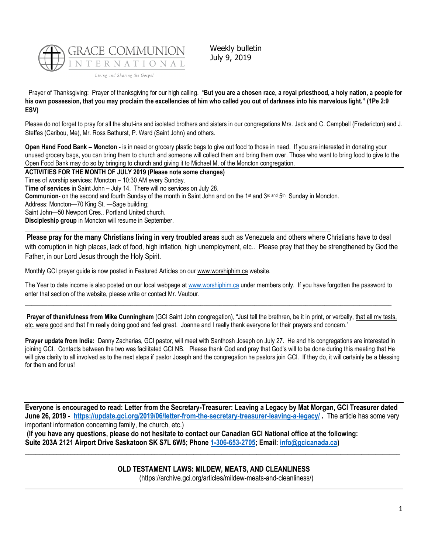

Weekly bulletin July 9, 2019

Prayer of Thanksgiving: Prayer of thanksgiving for our high calling. "**But you are a chosen race, a royal priesthood, a holy nation, a people for his own possession, that you may proclaim the excellencies of him who called you out of darkness into his marvelous light." (1Pe 2:9 ESV)**

Please do not forget to pray for all the shut-ins and isolated brothers and sisters in our congregations Mrs. Jack and C. Campbell (Fredericton) and J. Steffes (Caribou, Me), Mr. Ross Bathurst, P. Ward (Saint John) and others.

**Open Hand Food Bank – Moncton** - is in need or grocery plastic bags to give out food to those in need. If you are interested in donating your unused grocery bags, you can bring them to church and someone will collect them and bring them over. Those who want to bring food to give to the Open Food Bank may do so by bringing to church and giving it to Michael M. of the Moncton congregation.

**ACTIVITIES FOR THE MONTH OF JULY 2019 (Please note some changes)** Times of worship services: Moncton – 10:30 AM every Sunday. **Time of services** in Saint John – July 14. There will no services on July 28. Communion- on the second and fourth Sunday of the month in Saint John and on the 1<sup>st</sup> and 3<sup>rd and</sup> 5<sup>th</sup> Sunday in Moncton. Address: Moncton—70 King St. —Sage building; Saint John—50 Newport Cres., Portland United church. **Discipleship group** in Moncton will resume in September.

 $\_$  ,  $\_$  ,  $\_$  ,  $\_$  ,  $\_$  ,  $\_$  ,  $\_$  ,  $\_$  ,  $\_$  ,  $\_$  ,  $\_$  ,  $\_$  ,  $\_$  ,  $\_$  ,  $\_$  ,  $\_$  ,  $\_$  ,  $\_$  ,  $\_$  ,  $\_$  ,  $\_$  ,  $\_$  ,  $\_$  ,  $\_$  ,  $\_$  ,  $\_$  ,  $\_$  ,  $\_$  ,  $\_$  ,  $\_$  ,  $\_$  ,  $\_$  ,  $\_$  ,  $\_$  ,  $\_$  ,  $\_$  ,  $\_$  ,

**Please pray for the many Christians living in very troubled areas** such as Venezuela and others where Christians have to deal with corruption in high places, lack of food, high inflation, high unemployment, etc.. Please pray that they be strengthened by God the Father, in our Lord Jesus through the Holy Spirit.

Monthly GCI prayer guide is now posted in Featured Articles on ou[r www.worshiphim.ca](http://www.worshiphim.ca/) website.

The Year to date income is also posted on our local webpage at [www.worshiphim.ca](http://www.worshiphim.ca/) under members only. If you have forgotten the password to enter that section of the website, please write or contact Mr. Vautour.  $\Box$  . The contribution of the contribution of the contribution of the contribution of the contribution of the contribution of the contribution of the contribution of the contribution of the contribution of the contributi

**Prayer of thankfulness from Mike Cunningham** (GCI Saint John congregation), "Just tell the brethren, be it in print, or verbally, that all my tests, etc. were good and that I'm really doing good and feel great. Joanne and I really thank everyone for their prayers and concern."

**Prayer update from India:** Danny Zacharias, GCI pastor, will meet with Santhosh Joseph on July 27. He and his congregations are interested in joining GCI. Contacts between the two was facilitated GCI NB. Please thank God and pray that God's will to be done during this meeting that He will give clarity to all involved as to the next steps if pastor Joseph and the congregation he pastors join GCI. If they do, it will certainly be a blessing for them and for us!

**Everyone is encouraged to read: Letter from the Secretary-Treasurer: Leaving a Legacy by Mat Morgan, GCI Treasurer dated June 26, 2019 - <https://update.gci.org/2019/06/letter-from-the-secretary-treasurer-leaving-a-legacy/> .** The article has some very important information concerning family, the church, etc.)

**(If you have any questions, please do not hesitate to contact our Canadian GCI National office at the following: Suite 203A 2121 Airport Drive Saskatoon SK S7L 6W5; Phone [1-306-653-2705;](tel:13066532705) Email: [info@gcicanada.ca\)](mailto:info@gcicanada.ca)**

**OLD TESTAMENT LAWS: MILDEW, MEATS, AND CLEANLINESS**

**\_\_\_\_\_\_\_\_\_\_\_\_\_\_\_\_\_\_\_\_\_\_\_\_\_\_\_\_\_\_\_\_\_\_\_\_\_\_\_\_\_\_\_\_\_\_\_\_\_\_\_\_\_\_\_\_\_\_\_\_\_\_\_\_\_\_\_\_\_\_\_\_\_\_\_\_\_\_\_\_\_\_\_\_\_\_\_\_\_\_\_\_\_\_\_\_\_\_\_\_\_\_\_\_\_\_\_**

(https://archive.gci.org/articles/mildew-meats-and-cleanliness/)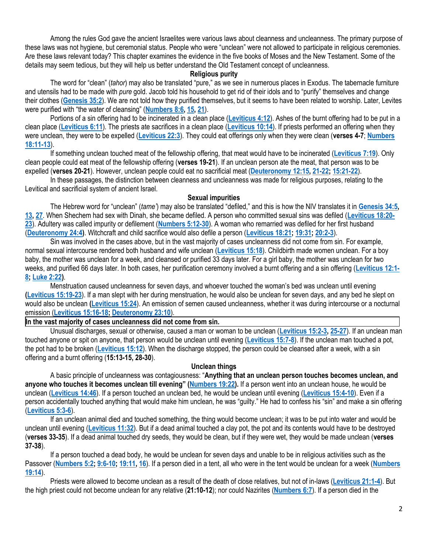Among the rules God gave the ancient Israelites were various laws about cleanness and uncleanness. The primary purpose of these laws was not hygiene, but ceremonial status. People who were "unclean" were not allowed to participate in religious ceremonies. Are these laws relevant today? This chapter examines the evidence in the five books of Moses and the New Testament. Some of the details may seem tedious, but they will help us better understand the Old Testament concept of uncleanness.

### **Religious purity**

The word for "clean" (*tahor*) may also be translated "pure," as we see in numerous places in Exodus. The tabernacle furniture and utensils had to be made with *pure* gold. Jacob told his household to get rid of their idols and to "purify" themselves and change their clothes (**[Genesis 35:2](https://biblia.com/bible/niv/Gen%2035.2)**). We are not told how they purified themselves, but it seems to have been related to worship. Later, Levites were purified with "the water of cleansing" (**[Numbers 8:6,](https://biblia.com/bible/niv/Num%208.6) [15,](https://biblia.com/bible/niv/Numbers%208.15) [21](https://biblia.com/bible/niv/Numbers%208.21)**).

Portions of a sin offering had to be incinerated in a clean place (**[Leviticus 4:12](https://biblia.com/bible/niv/Lev%204.12)**). Ashes of the burnt offering had to be put in a clean place (**[Leviticus 6:11](https://biblia.com/bible/niv/Lev%206.11)**). The priests ate sacrifices in a clean place (**[Leviticus 10:14](https://biblia.com/bible/niv/Lev%2010.14)**). If priests performed an offering when they were unclean, they were to be expelled (**[Leviticus 22:3](https://biblia.com/bible/niv/Lev%2022.3)**). They could eat offerings only when they were clean (**verses 4-7**; **[Numbers](https://biblia.com/bible/niv/Num%2018.11-13)  [18:11-13](https://biblia.com/bible/niv/Num%2018.11-13)**).

If something unclean touched meat of the fellowship offering, that meat would have to be incinerated (**[Leviticus 7:19](https://biblia.com/bible/niv/Lev%207.19)**). Only clean people could eat meat of the fellowship offering (**verses 19-21**). If an unclean person ate the meat, that person was to be expelled (**verses 20-21**). However, unclean people could eat no sacrificial meat (**[Deuteronomy 12:15,](https://biblia.com/bible/niv/Deut%2012.15) [21-22;](https://biblia.com/bible/niv/Deuteronomy%2012.21-22) [15:21-22](https://biblia.com/bible/niv/Deuteronomy%2015.21-22)**).

In these passages, the distinction between cleanness and uncleanness was made for religious purposes, relating to the Levitical and sacrificial system of ancient Israel.

# **Sexual impurities**

The Hebrew word for "unclean" (*tame'*) may also be translated "defiled," and this is how the NIV translates it in **[Genesis 34:5,](https://biblia.com/bible/niv/Gen%2034.5) [13,](https://biblia.com/bible/niv/Genesis%2034.13) [27](https://biblia.com/bible/niv/Genesis%2034.27)**. When Shechem had sex with Dinah, she became defiled. A person who committed sexual sins was defiled (**[Leviticus 18:20-](https://biblia.com/bible/niv/Lev%2018.20-23) [23](https://biblia.com/bible/niv/Lev%2018.20-23)**). Adultery was called impurity or defilement (**[Numbers 5:12-30](https://biblia.com/bible/niv/Num%205.12-30)**). A woman who remarried was defiled for her first husband (**[Deuteronomy 24:4\)](https://biblia.com/bible/niv/Deut%2024.4)**. Witchcraft and child sacrifice would also defile a person (**[Leviticus 18:21;](https://biblia.com/bible/niv/Lev%2018.21) [19:31;](https://biblia.com/bible/niv/Leviticus%2019.31) [20:2-3](https://biblia.com/bible/niv/Leviticus%2020.2-3)**).

Sin was involved in the cases above, but in the vast majority of cases uncleanness did not come from sin. For example, normal sexual intercourse rendered both husband and wife unclean (**[Leviticus 15:18](https://biblia.com/bible/niv/Lev%2015.18)**). Childbirth made women unclean. For a boy baby, the mother was unclean for a week, and cleansed or purified 33 days later. For a girl baby, the mother was unclean for two weeks, and purified 66 days later. In both cases, her purification ceremony involved a burnt offering and a sin offering (**[Leviticus 12:1-](https://biblia.com/bible/niv/Lev%2012.1-8) [8;](https://biblia.com/bible/niv/Lev%2012.1-8) [Luke 2:22\)](https://biblia.com/bible/niv/Luke%202.22)**.

Menstruation caused uncleanness for seven days, and whoever touched the woman's bed was unclean until evening **[\(Leviticus 15:19-23](https://biblia.com/bible/niv/Lev%2015.19-23)**). If a man slept with her during menstruation, he would also be unclean for seven days, and any bed he slept on would also be unclean **[\(Leviticus 15:24](https://biblia.com/bible/niv/Lev%2015.24)**). An emission of semen caused uncleanness, whether it was during intercourse or a nocturnal emission (**[Leviticus 15:16-18;](https://biblia.com/bible/niv/Lev%2015.16-18) [Deuteronomy 23:10](https://biblia.com/bible/niv/Deut%2023.10)**).

**In the vast majority of cases uncleanness did not come from sin.**

Unusual discharges, sexual or otherwise, caused a man or woman to be unclean (**[Leviticus 15:2-3,](https://biblia.com/bible/niv/Lev%2015.2-3) [25-27](https://biblia.com/bible/niv/Leviticus%2015.25-27)**). If an unclean man touched anyone or spit on anyone, that person would be unclean until evening (**[Leviticus 15:7-8](https://biblia.com/bible/niv/Lev%2015.7-8)**). If the unclean man touched a pot, the pot had to be broken (**[Leviticus 15:12](https://biblia.com/bible/niv/Lev%2015.12)**). When the discharge stopped, the person could be cleansed after a week, with a sin offering and a burnt offering (**15:13-15, 28-30**).

# **Unclean things**

A basic principle of uncleanness was contagiousness: "**Anything that an unclean person touches becomes unclean, and anyone who touches it becomes unclean till evening" ([Numbers 19:22\)](https://biblia.com/bible/niv/Num%2019.22).** If a person went into an unclean house, he would be unclean (**[Leviticus 14:46](https://biblia.com/bible/niv/Lev%2014.46)**). If a person touched an unclean bed, he would be unclean until evening (**[Leviticus 15:4-10](https://biblia.com/bible/niv/Lev%2015.4-10)**). Even if a person accidentally touched anything that would make him unclean, he was "guilty." He had to confess his "sin" and make a sin offering (**[Leviticus 5:3-6](https://biblia.com/bible/niv/Lev%205.3-6)**).

If an unclean animal died and touched something, the thing would become unclean; it was to be put into water and would be unclean until evening (**[Leviticus 11:32](https://biblia.com/bible/niv/Lev%2011.32)**). But if a dead animal touched a clay pot, the pot and its contents would have to be destroyed (**verses 33-35**). If a dead animal touched dry seeds, they would be clean, but if they were wet, they would be made unclean (**verses 37-38**).

If a person touched a dead body, he would be unclean for seven days and unable to be in religious activities such as the Passover (**[Numbers 5:2;](https://biblia.com/bible/niv/Num%205.2) [9:6-10;](https://biblia.com/bible/niv/Numbers%209.6-10) [19:11,](https://biblia.com/bible/niv/Numbers%2019.11) [16](https://biblia.com/bible/niv/Numbers%2019.16)**). If a person died in a tent, all who were in the tent would be unclean for a week (**[Numbers](https://biblia.com/bible/niv/Num%2019.14)  [19:14](https://biblia.com/bible/niv/Num%2019.14)**).

Priests were allowed to become unclean as a result of the death of close relatives, but not of in-laws (**[Leviticus 21:1-4](https://biblia.com/bible/niv/Lev%2021.1-4)**). But the high priest could not become unclean for any relative (**21:10-12**); nor could Nazirites (**[Numbers 6:7](https://biblia.com/bible/niv/Num%206.7)**). If a person died in the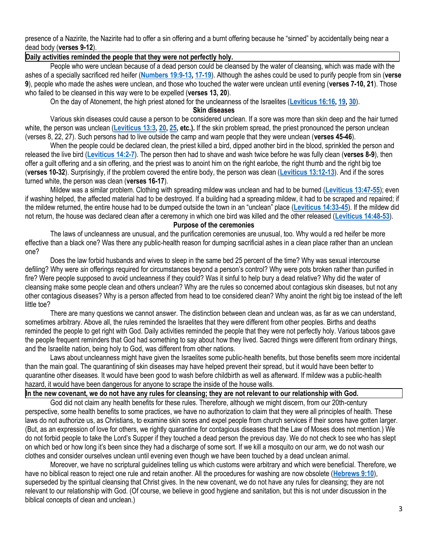presence of a Nazirite, the Nazirite had to offer a sin offering and a burnt offering because he "sinned" by accidentally being near a dead body (**verses 9-12**).

# **Daily activities reminded the people that they were not perfectly holy.**

People who were unclean because of a dead person could be cleansed by the water of cleansing, which was made with the ashes of a specially sacrificed red heifer (**[Numbers 19:9-13,](https://biblia.com/bible/niv/Num%2019.9-13) [17-19](https://biblia.com/bible/niv/Numbers%2019.17-19)**). Although the ashes could be used to purify people from sin (**verse 9**), people who made the ashes were unclean, and those who touched the water were unclean until evening (**verses 7-10, 21**). Those who failed to be cleansed in this way were to be expelled (**verses 13, 20**).

On the day of Atonement, the high priest atoned for the uncleanness of the Israelites (**[Leviticus 16:16,](https://biblia.com/bible/niv/Lev%2016.16) [19,](https://biblia.com/bible/niv/Leviticus%2016.19) [30](https://biblia.com/bible/niv/Leviticus%2016.30)**).

# **Skin diseases**

Various skin diseases could cause a person to be considered unclean. If a sore was more than skin deep and the hair turned white, the person was unclean (**[Leviticus 13:3,](https://biblia.com/bible/niv/Lev%2013.3) [20,](https://biblia.com/bible/niv/Leviticus%2013.20) [25,](https://biblia.com/bible/niv/Leviticus%2013.25) etc.).** If the skin problem spread, the priest pronounced the person unclean (verses 8, 22, 27). Such persons had to live outside the camp and warn people that they were unclean (**verses 45-46**).

When the people could be declared clean, the priest killed a bird, dipped another bird in the blood, sprinkled the person and released the live bird (**[Leviticus 14:2-7](https://biblia.com/bible/niv/Lev%2014.2-7)**). The person then had to shave and wash twice before he was fully clean (**verses 8-9**), then offer a guilt offering and a sin offering, and the priest was to anoint him on the right earlobe, the right thumb and the right big toe (**verses 10-32**). Surprisingly, if the problem covered the entire body, the person was clean (**[Leviticus 13:12-13](https://biblia.com/bible/niv/Lev%2013.12-13)**). And if the sores turned white, the person was clean (**verses 16-17**).

Mildew was a similar problem. Clothing with spreading mildew was unclean and had to be burned (**[Leviticus 13:47-55](https://biblia.com/bible/niv/Lev%2013.47-55)**); even if washing helped, the affected material had to be destroyed. If a building had a spreading mildew, it had to be scraped and repaired; if the mildew returned, the entire house had to be dumped outside the town in an "unclean" place (**[Leviticus 14:33-45](https://biblia.com/bible/niv/Lev%2014.33-45)**). If the mildew did not return, the house was declared clean after a ceremony in which one bird was killed and the other released (**[Leviticus 14:48-53](https://biblia.com/bible/niv/Lev%2014.48-53)**).

#### **Purpose of the ceremonies**

The laws of uncleanness are unusual, and the purification ceremonies are unusual, too. Why would a red heifer be more effective than a black one? Was there any public-health reason for dumping sacrificial ashes in a clean place rather than an unclean one?

Does the law forbid husbands and wives to sleep in the same bed 25 percent of the time? Why was sexual intercourse defiling? Why were *sin* offerings required for circumstances beyond a person's control? Why were pots broken rather than purified in fire? Were people supposed to avoid uncleanness if they could? Was it sinful to help bury a dead relative? Why did the water of cleansing make some people clean and others unclean? Why are the rules so concerned about contagious skin diseases, but not any other contagious diseases? Why is a person affected from head to toe considered clean? Why anoint the right big toe instead of the left little toe?

There are many questions we cannot answer. The distinction between clean and unclean was, as far as we can understand, sometimes arbitrary. Above all, the rules reminded the Israelites that they were different from other peoples. Births and deaths reminded the people to get right with God. Daily activities reminded the people that they were not perfectly holy. Various taboos gave the people frequent reminders that God had something to say about how they lived. Sacred things were different from ordinary things, and the Israelite nation, being holy to God, was different from other nations.

Laws about uncleanness might have given the Israelites some public-health benefits, but those benefits seem more incidental than the main goal. The quarantining of skin diseases may have helped prevent their spread, but it would have been better to quarantine other diseases. It would have been good to wash before childbirth as well as afterward. If mildew was a public-health hazard, it would have been dangerous for anyone to scrape the inside of the house walls.

# **In the new covenant, we do not have any rules for cleansing; they are not relevant to our relationship with God.**

God did not claim any health benefits for these rules. Therefore, although we might discern, from our 20th-century perspective, some health benefits to some practices, we have no authorization to claim that they were all principles of health. These laws do not authorize us, as Christians, to examine skin sores and expel people from church services if their sores have gotten larger. (But, as an expression of love for others, we rightly quarantine for contagious diseases that the Law of Moses does not mention.) We do not forbid people to take the Lord's Supper if they touched a dead person the previous day. We do not check to see who has slept on which bed or how long it's been since they had a discharge of some sort. If we kill a mosquito on our arm, we do not wash our clothes and consider ourselves unclean until evening even though we have been touched by a dead unclean animal.

Moreover, we have no scriptural guidelines telling us which customs were arbitrary and which were beneficial. Therefore, we have no biblical reason to reject one rule and retain another. All the procedures for washing are now obsolete (**[Hebrews 9:10](https://biblia.com/bible/niv/Heb%209.10)**), superseded by the spiritual cleansing that Christ gives. In the new covenant, we do not have any rules for cleansing; they are not relevant to our relationship with God. (Of course, we believe in good hygiene and sanitation, but this is not under discussion in the biblical concepts of clean and unclean.)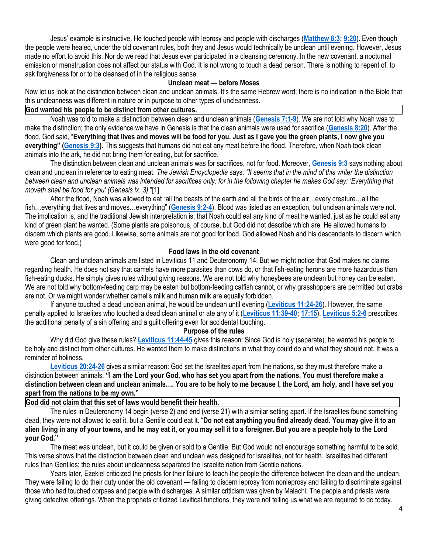Jesus' example is instructive. He touched people with leprosy and people with discharges (**[Matthew 8:3;](https://biblia.com/bible/niv/Matt%208.3) [9:20](https://biblia.com/bible/niv/Matthew%209.20)**). Even though the people were healed, under the old covenant rules, both they and Jesus would technically be unclean until evening. However, Jesus made no effort to avoid this. Nor do we read that Jesus ever participated in a cleansing ceremony. In the new covenant, a nocturnal emission or menstruation does not affect our status with God. It is not wrong to touch a dead person. There is nothing to repent of, to ask forgiveness for or to be cleansed of in the religious sense.

# **Unclean meat — before Moses**

Now let us look at the distinction between clean and unclean animals. It's the same Hebrew word; there is no indication in the Bible that this uncleanness was different in nature or in purpose to other types of uncleanness.

# **God wanted his people to be distinct from other cultures.**

Noah was told to make a distinction between clean and unclean animals (**[Genesis 7:1-9](https://biblia.com/bible/niv/Gen%207.1-9)**). We are not told why Noah was to make the distinction; the only evidence we have in Genesis is that the clean animals were used for sacrifice (**[Genesis 8:20](https://biblia.com/bible/niv/Gen%208.20)**). After the flood, God said, "**Everything that lives and moves will be food for you. Just as I gave you the green plants, I now give you everything" ([Genesis 9:3\)](https://biblia.com/bible/niv/Gen%209.3).** This suggests that humans did not eat any meat before the flood. Therefore, when Noah took clean animals into the ark, he did not bring them for eating, but for sacrifice.

The distinction between clean and unclean animals was for sacrifices, not for food. Moreover, **[Genesis 9:3](https://biblia.com/bible/niv/Gen%209.3)** says nothing about clean and unclean in reference to eating meat. *The Jewish Encyclopedia* says*: "It seems that in the mind of this writer the distinction*  between clean and unclean animals was intended for sacrifices only: for in the following chapter he makes God say: 'Everything that *moveth shall be food for you' (Genesis ix. 3)*."[1]

After the flood, Noah was allowed to eat "all the beasts of the earth and all the birds of the air…every creature…all the fish…everything that lives and moves…everything" (**[Genesis 9:2-4](https://biblia.com/bible/niv/Gen%209.2-4)**). Blood was listed as an exception, but unclean animals were not. The implication is, and the traditional Jewish interpretation is, that Noah could eat any kind of meat he wanted, just as he could eat any kind of green plant he wanted. (Some plants are poisonous, of course, but God did not describe which are. He allowed humans to discern which plants are good. Likewise, some animals are not good for food. God allowed Noah and his descendants to discern which were good for food.)

## **Food laws in the old covenant**

Clean and unclean animals are listed in Leviticus 11 and Deuteronomy 14. But we might notice that God makes no claims regarding health. He does not say that camels have more parasites than cows do, or that fish-eating herons are more hazardous than fish-eating ducks. He simply gives rules without giving reasons. We are not told why honeybees are unclean but honey can be eaten. We are not told why bottom-feeding carp may be eaten but bottom-feeding catfish cannot, or why grasshoppers are permitted but crabs are not. Or we might wonder whether camel's milk and human milk are equally forbidden.

If anyone touched a dead unclean animal, he would be unclean until evening (**[Leviticus 11:24-26](https://biblia.com/bible/niv/Lev%2011.24-26)**). However, the same penalty applied to Israelites who touched a dead clean animal or ate any of it (**[Leviticus 11:39-40;](https://biblia.com/bible/niv/Lev%2011.39-40) [17:15](https://biblia.com/bible/niv/Leviticus%2017.15)**). **[Leviticus 5:2-6](https://biblia.com/bible/niv/Lev%205.2-6)** prescribes the additional penalty of a sin offering and a guilt offering even for accidental touching.

# **Purpose of the rules**

Why did God give these rules? **[Leviticus 11:44-45](https://biblia.com/bible/niv/Lev%2011.44-45)** gives this reason: Since God is holy (separate), he wanted his people to be holy and distinct from other cultures. He wanted them to make distinctions in what they could do and what they should not. It was a reminder of holiness.

**[Leviticus 20:24-26](https://biblia.com/bible/niv/Lev%2020.24-26)** gives a similar reason: God set the Israelites apart from the nations, so they must therefore make a distinction between animals. **"I am the Lord your God, who has set you apart from the nations. You must therefore make a distinction between clean and unclean animals…. You are to be holy to me because I, the Lord, am holy, and I have set you apart from the nations to be my own."**

# **God did not claim that this set of laws would benefit their health.**

The rules in Deuteronomy 14 begin (verse 2) and end (verse 21) with a similar setting apart. If the Israelites found something dead, they were not allowed to eat it, but a Gentile could eat it. "**Do not eat anything you find already dead. You may give it to an alien living in any of your towns, and he may eat it, or you may sell it to a foreigner. But you are a people holy to the Lord your God."**

The meat was unclean, but it could be given or sold to a Gentile. But God would not encourage something harmful to be sold. This verse shows that the distinction between clean and unclean was designed for Israelites, not for health. Israelites had different rules than Gentiles; the rules about uncleanness separated the Israelite nation from Gentile nations.

Years later, Ezekiel criticized the priests for their failure to teach the people the difference between the clean and the unclean. They were failing to do their duty under the old covenant — failing to discern leprosy from nonleprosy and failing to discriminate against those who had touched corpses and people with discharges. A similar criticism was given by Malachi: The people and priests were giving defective offerings. When the prophets criticized Levitical functions, they were not telling us what we are required to do today.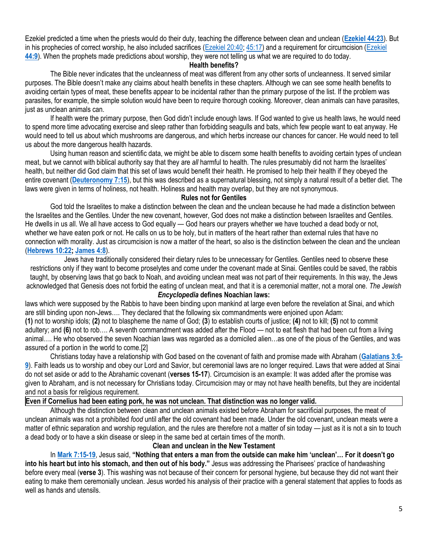Ezekiel predicted a time when the priests would do their duty, teaching the difference between clean and unclean (**[Ezekiel 44:23](https://biblia.com/bible/niv/Ezek%2044.23)**). But in his prophecies of correct worship, he also included sacrifices [\(Ezekiel 20:40;](https://biblia.com/bible/niv/Ezek%2020.40) [45:17\)](https://biblia.com/bible/niv/Ezekiel%2045.17) and a requirement for circumcision [\(Ezekiel](https://biblia.com/bible/niv/Ezek%2044.9)  **[44:9](https://biblia.com/bible/niv/Ezek%2044.9)**). When the prophets made predictions about worship, they were not telling us what we are required to do today.

### **Health benefits?**

The Bible never indicates that the uncleanness of meat was different from any other sorts of uncleanness. It served similar purposes. The Bible doesn't make any claims about health benefits in these chapters. Although we can see some health benefits to avoiding certain types of meat, these benefits appear to be incidental rather than the primary purpose of the list. If the problem was parasites, for example, the simple solution would have been to require thorough cooking. Moreover, clean animals can have parasites, just as unclean animals can.

If health were the primary purpose, then God didn't include enough laws. If God wanted to give us health laws, he would need to spend more time advocating exercise and sleep rather than forbidding seagulls and bats, which few people want to eat anyway. He would need to tell us about which mushrooms are dangerous, and which herbs increase our chances for cancer. He would need to tell us about the more dangerous health hazards.

Using human reason and scientific data, we might be able to discern some health benefits to avoiding certain types of unclean meat, but we cannot with biblical authority say that they are *all* harmful to health. The rules presumably did not harm the Israelites' health, but neither did God claim that this set of laws would benefit their health. He promised to help their health if they obeyed the entire covenant (**[Deuteronomy 7:15](https://biblia.com/bible/niv/Deut%207.15)**), but this was described as a supernatural blessing, not simply a natural result of a better diet. The laws were given in terms of holiness, not health. Holiness and health may overlap, but they are not synonymous.

# **Rules not for Gentiles**

God told the Israelites to make a distinction between the clean and the unclean because he had made a distinction between the Israelites and the Gentiles. Under the new covenant, however, God does not make a distinction between Israelites and Gentiles. He dwells in us all. We all have access to God equally — God hears our prayers whether we have touched a dead body or not, whether we have eaten pork or not. He calls on us to be holy, but in matters of the heart rather than external rules that have no connection with morality. Just as circumcision is now a matter of the heart, so also is the distinction between the clean and the unclean (**[Hebrews 10:22;](https://biblia.com/bible/niv/Heb%2010.22) [James 4:8](https://biblia.com/bible/niv/James%204.8)**).

Jews have traditionally considered their dietary rules to be unnecessary for Gentiles. Gentiles need to observe these restrictions only if they want to become proselytes and come under the covenant made at Sinai. Gentiles could be saved, the rabbis taught, by observing laws that go back to Noah, and avoiding unclean meat was not part of their requirements. In this way, the Jews acknowledged that Genesis does not forbid the eating of unclean meat, and that it is a ceremonial matter, not a moral one. *The Jewish* 

## *Encyclopedia* **defines Noachian laws:**

laws which were supposed by the Rabbis to have been binding upon mankind at large even before the revelation at Sinai, and which are still binding upon non-Jews…. They declared that the following six commandments were enjoined upon Adam: **(1)** not to worship idols; **(2)** not to blaspheme the name of God; **(3**) to establish courts of justice; **(4)** not to kill; **(5)** not to commit adultery; and **(6)** not to rob…. A seventh commandment was added after the Flood — not to eat flesh that had been cut from a living animal…. He who observed the seven Noachian laws was regarded as a domiciled alien…as one of the pious of the Gentiles, and was assured of a portion in the world to come.[2]

Christians today have a relationship with God based on the covenant of faith and promise made with Abraham (**[Galatians 3:6-](https://biblia.com/bible/niv/Gal%203.6-9) [9](https://biblia.com/bible/niv/Gal%203.6-9)**). Faith leads us to worship and obey our Lord and Savior, but ceremonial laws are no longer required. Laws that were added at Sinai do not set aside or add to the Abrahamic covenant (**verses 15-17**). Circumcision is an example: It was added after the promise was given to Abraham, and is not necessary for Christians today. Circumcision may or may not have health benefits, but they are incidental and not a basis for religious requirement.

# **Even if Cornelius had been eating pork, he was not unclean. That distinction was no longer valid.**

Although the distinction between clean and unclean animals existed before Abraham for sacrificial purposes, the meat of unclean animals was not a prohibited *food* until after the old covenant had been made. Under the old covenant, unclean meats were a matter of ethnic separation and worship regulation, and the rules are therefore not a matter of sin today — just as it is not a sin to touch a dead body or to have a skin disease or sleep in the same bed at certain times of the month.

# **Clean and unclean in the New Testament**

In **[Mark 7:15-19](https://biblia.com/bible/niv/Mark%207.15-19)**, Jesus said, **"Nothing that enters a man from the outside can make him 'unclean'… For it doesn't go into his heart but into his stomach, and then out of his body."** Jesus was addressing the Pharisees' practice of handwashing before every meal (**verse 3**). This washing was not because of their concern for personal hygiene, but because they did not want their eating to make them ceremonially unclean. Jesus worded his analysis of their practice with a general statement that applies to foods as well as hands and utensils.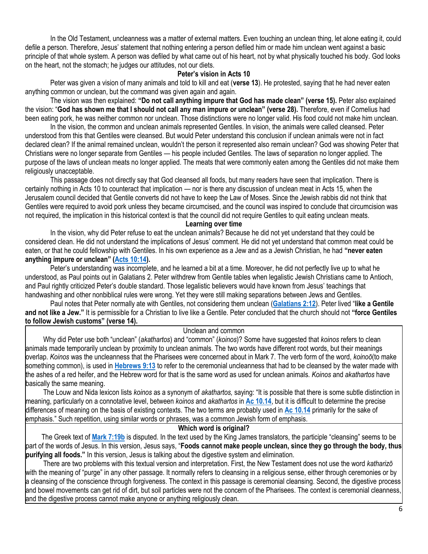In the Old Testament, uncleanness was a matter of external matters. Even touching an unclean thing, let alone eating it, could defile a person. Therefore, Jesus' statement that nothing entering a person defiled him or made him unclean went against a basic principle of that whole system. A person was defiled by what came out of his heart, not by what physically touched his body. God looks on the heart, not the stomach; he judges our attitudes, not our diets.

#### **Peter's vision in Acts 10**

Peter was given a vision of many animals and told to kill and eat (**verse 13**). He protested, saying that he had never eaten anything common or unclean, but the command was given again and again.

The vision was then explained: **"Do not call anything impure that God has made clean" (verse 15).** Peter also explained the vision: "**God has shown me that I should not call any man impure or unclean" (verse 28).** Therefore, even if Cornelius had been eating pork, he was neither common nor unclean. Those distinctions were no longer valid. His food could not make him unclean.

In the vision, the common and unclean animals represented Gentiles. In vision, the animals were called cleansed. Peter understood from this that Gentiles were cleansed. But would Peter understand this conclusion if unclean animals were not in fact declared clean? If the animal remained unclean, wouldn't the person it represented also remain unclean? God was showing Peter that Christians were no longer separate from Gentiles — his people included Gentiles. The laws of separation no longer applied. The purpose of the laws of unclean meats no longer applied. The meats that were commonly eaten among the Gentiles did not make them religiously unacceptable.

This passage does not directly say that God cleansed all foods, but many readers have seen that implication. There is certainly nothing in Acts 10 to counteract that implication — nor is there any discussion of unclean meat in Acts 15, when the Jerusalem council decided that Gentile converts did not have to keep the Law of Moses. Since the Jewish rabbis did not think that Gentiles were required to avoid pork unless they became circumcised, and the council was inspired to conclude that circumcision was not required, the implication in this historical context is that the council did not require Gentiles to quit eating unclean meats.

**Learning over time**

In the vision, why did Peter refuse to eat the unclean animals? Because he did not yet understand that they could be considered clean. He did not understand the implications of Jesus' comment. He did not yet understand that common meat could be eaten, or that he could fellowship with Gentiles. In his own experience as a Jew and as a Jewish Christian, he had **"never eaten anything impure or unclean" [\(Acts 10:14\)](https://biblia.com/bible/niv/Acts%2010.14).**

Peter's understanding was incomplete, and he learned a bit at a time. Moreover, he did not perfectly live up to what he understood, as Paul points out in Galatians 2. Peter withdrew from Gentile tables when legalistic Jewish Christians came to Antioch, and Paul rightly criticized Peter's double standard. Those legalistic believers would have known from Jesus' teachings that handwashing and other nonbiblical rules were wrong. Yet they were still making separations between Jews and Gentiles.

Paul notes that Peter normally ate with Gentiles, not considering them unclean (**[Galatians 2:12](https://biblia.com/bible/niv/Gal%202.12)**). Peter lived "**like a Gentile and not like a Jew."** It is permissible for a Christian to live like a Gentile. Peter concluded that the church should not **"force Gentiles to follow Jewish customs" (verse 14).**

Unclean and common

 Why did Peter use both "unclean" (*akathartos*) and "common" (*koinos*)? Some have suggested that *koinos* refers to clean animals made temporarily unclean by proximity to unclean animals. The two words have different root words, but their meanings overlap. *Koinos* was the uncleanness that the Pharisees were concerned about in Mark 7. The verb form of the word, *koinoō*(to make something common), is used in **[Hebrews 9:13](https://biblia.com/bible/niv/Heb%209.13)** to refer to the ceremonial uncleanness that had to be cleansed by the water made with the ashes of a red heifer, and the Hebrew word for that is the same word as used for unclean animals. *Koinos* and *akathartos* have basically the same meaning.

 The Louw and Nida lexicon lists *koinos* as a synonym of *akathartos,* saying: "It is possible that there is some subtle distinction in meaning, particularly on a connotative level, between *koinos* and *akathartos* in **[Ac 10.14](https://biblia.com/bible/niv/Acts%2010.14)**, but it is difficult to determine the precise differences of meaning on the basis of existing contexts. The two terms are probably used in **[Ac 10.14](https://biblia.com/bible/niv/Acts%2010.14)** primarily for the sake of emphasis." Such repetition, using similar words or phrases, was a common Jewish form of emphasis.

#### **Which word is original?**

 The Greek text of **[Mark 7:19b](https://biblia.com/bible/niv/Mark%207.19b)** is disputed. In the text used by the King James translators, the participle "cleansing" seems to be part of the words of Jesus. In this version, Jesus says, "**Foods cannot make people unclean, since they go through the body, thus purifying all foods."** In this version, Jesus is talking about the digestive system and elimination.

 There are two problems with this textual version and interpretation. First, the New Testament does not use the word *katharizō*  with the meaning of "purge" in any other passage. It normally refers to cleansing in a religious sense, either through ceremonies or by a cleansing of the conscience through forgiveness. The context in this passage is ceremonial cleansing. Second, the digestive process and bowel movements can get rid of dirt, but soil particles were not the concern of the Pharisees. The context is ceremonial cleanness, and the digestive process cannot make anyone or anything religiously clean.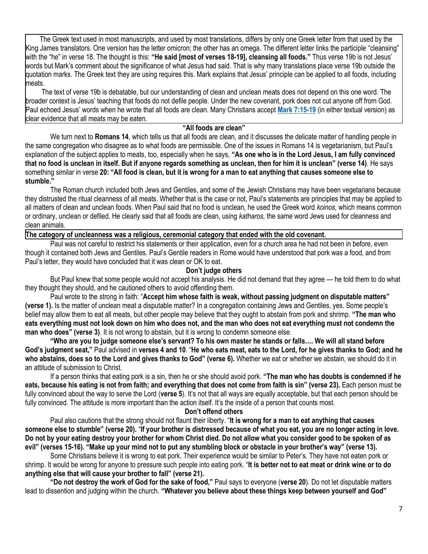The Greek text used in most manuscripts, and used by most translations, differs by only one Greek letter from that used by the King James translators. One version has the letter omicron; the other has an omega. The different letter links the participle "cleansing" with the "he" in verse 18. The thought is this: **"He said [most of verses 18-19], cleansing all foods."** Thus verse 19b is not Jesus' words but Mark's comment about the significance of what Jesus had said. That is why many translations place verse 19b outside the quotation marks. The Greek text they are using requires this. Mark explains that Jesus' principle can be applied to all foods, including meats.

 The text of verse 19b is debatable, but our understanding of clean and unclean meats does not depend on this one word. The broader context is Jesus' teaching that foods do not defile people. Under the new covenant, pork does not cut anyone off from God. Paul echoed Jesus' words when he wrote that all foods are clean. Many Christians accept **[Mark 7:15-19](https://biblia.com/bible/niv/Mark%207.15-19)** (in either textual version) as clear evidence that all meats may be eaten.

#### **"All foods are clean"**

We turn next to **Romans 14**, which tells us that all foods are clean, and it discusses the delicate matter of handling people in the same congregation who disagree as to what foods are permissible. One of the issues in Romans 14 is vegetarianism, but Paul's explanation of the subject applies to meats, too, especially when he says, **"As one who is in the Lord Jesus, I am fully convinced that no food is unclean in itself. But if anyone regards something as unclean, then for him it is unclean" (verse 14)**. He says something similar in verse **20: "All food is clean, but it is wrong for a man to eat anything that causes someone else to stumble."**

The Roman church included both Jews and Gentiles, and some of the Jewish Christians may have been vegetarians because they distrusted the ritual cleanness of all meats. Whether that is the case or not, Paul's statements are principles that may be applied to all matters of clean and unclean foods. When Paul said that no food is unclean, he used the Greek word *koinos,* which means common or ordinary, unclean or defiled. He clearly said that all foods are clean, using *katharos,* the same word Jews used for cleanness and clean animals.

# **The category of uncleanness was a religious, ceremonial category that ended with the old covenant.**

Paul was not careful to restrict his statements or their application, even for a church area he had not been in before, even though it contained both Jews and Gentiles. Paul's Gentile readers in Rome would have understood that pork was a food, and from Paul's letter, they would have concluded that it was clean or OK to eat.

#### **Don't judge others**

But Paul knew that some people would not accept his analysis. He did not demand that they agree — he told them to do what they thought they should, and he cautioned others to avoid offending them.

Paul wrote to the strong in faith: "**Accept him whose faith is weak, without passing judgment on disputable matters" (verse 1).** Is the matter of unclean meat a disputable matter? In a congregation containing Jews and Gentiles, yes. Some people's belief may allow them to eat all meats, but other people may believe that they ought to abstain from pork and shrimp. **"The man who eats everything must not look down on him who does not, and the man who does not eat everything must not condemn the man who does" (verse 3)**. It is not wrong to abstain, but it is wrong to condemn someone else.

**"Who are you to judge someone else's servant? To his own master he stands or falls…. We will all stand before God's judgment seat,"** Paul advised in **verses 4 and 10**. "**He who eats meat, eats to the Lord, for he gives thanks to God; and he who abstains, does so to the Lord and gives thanks to God" (verse 6).** Whether we eat or whether we abstain, we should do it in an attitude of submission to Christ.

If a person thinks that eating pork is a sin, then he or she should avoid pork. **"The man who has doubts is condemned if he eats, because his eating is not from faith; and everything that does not come from faith is sin" (verse 23).** Each person must be fully convinced about the way to serve the Lord (**verse 5**). It's not that all ways are equally acceptable, but that each person should be fully convinced. The attitude is more important than the action itself. It's the inside of a person that counts most.

#### **Don't offend others**

Paul also cautions that the strong should not flaunt their liberty. "**It is wrong for a man to eat anything that causes someone else to stumble" (verse 20).** "**If your brother is distressed because of what you eat, you are no longer acting in love. Do not by your eating destroy your brother for whom Christ died. Do not allow what you consider good to be spoken of as evil" (verses 15-16). "Make up your mind not to put any stumbling block or obstacle in your brother's way" (verse 13).**

Some Christians believe it is wrong to eat pork. Their experience would be similar to Peter's. They have not eaten pork or shrimp. It would be wrong for anyone to pressure such people into eating pork. "**It is better not to eat meat or drink wine or to do anything else that will cause your brother to fall" (verse 21).**

**"Do not destroy the work of God for the sake of food,"** Paul says to everyone (**verse 20**). Do not let disputable matters lead to dissention and judging within the church. **"Whatever you believe about these things keep between yourself and God"**